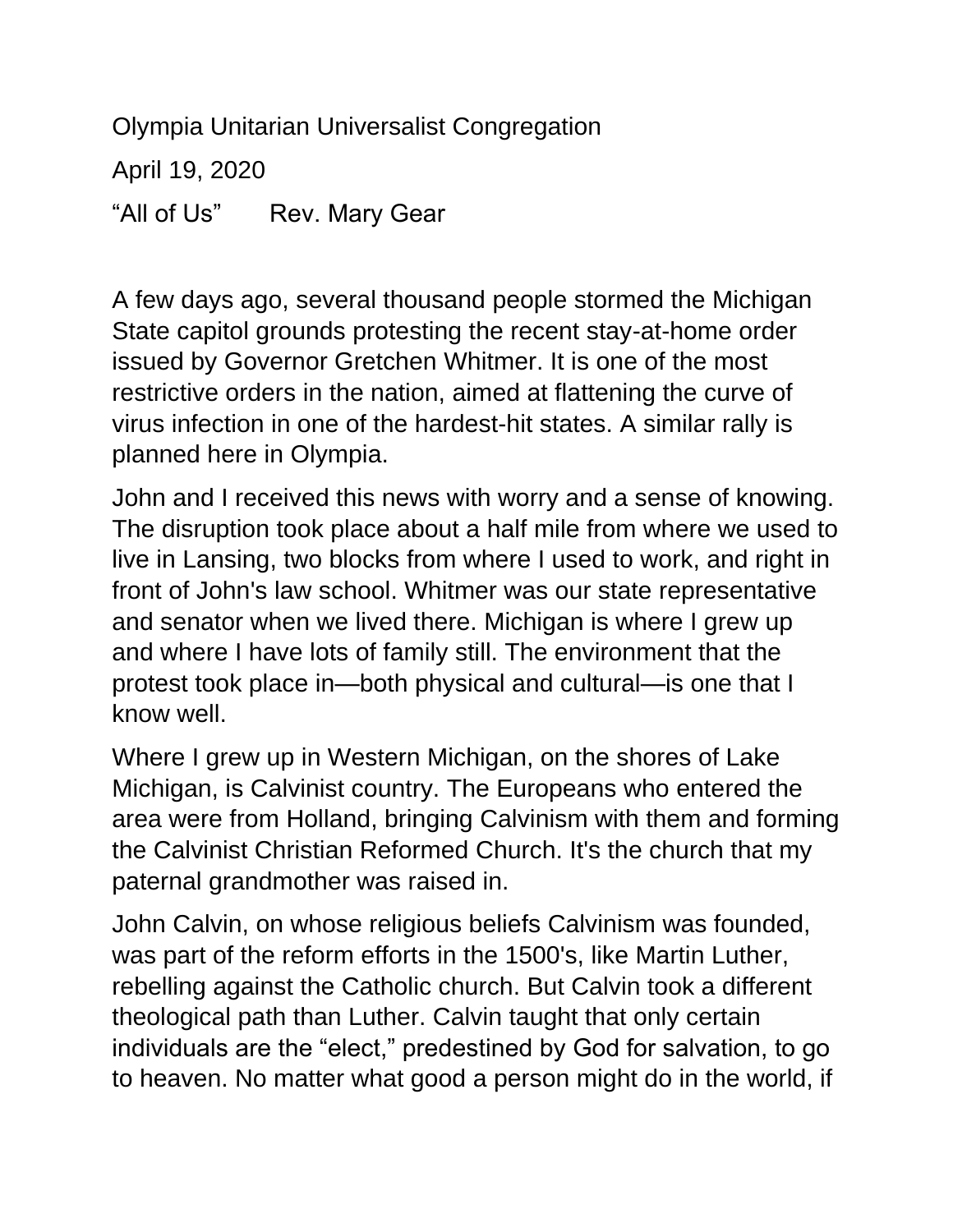Olympia Unitarian Universalist Congregation

April 19, 2020

"All of Us" Rev. Mary Gear

A few days ago, several thousand people stormed the Michigan State capitol grounds protesting the recent stay-at-home order issued by Governor Gretchen Whitmer. It is one of the most restrictive orders in the nation, aimed at flattening the curve of virus infection in one of the hardest-hit states. A similar rally is planned here in Olympia.

John and I received this news with worry and a sense of knowing. The disruption took place about a half mile from where we used to live in Lansing, two blocks from where I used to work, and right in front of John's law school. Whitmer was our state representative and senator when we lived there. Michigan is where I grew up and where I have lots of family still. The environment that the protest took place in—both physical and cultural—is one that I know well.

Where I grew up in Western Michigan, on the shores of Lake Michigan, is Calvinist country. The Europeans who entered the area were from Holland, bringing Calvinism with them and forming the Calvinist Christian Reformed Church. It's the church that my paternal grandmother was raised in.

John Calvin, on whose religious beliefs Calvinism was founded, was part of the reform efforts in the 1500's, like Martin Luther, rebelling against the Catholic church. But Calvin took a different theological path than Luther. Calvin taught that only certain individuals are the "elect," predestined by God for salvation, to go to heaven. No matter what good a person might do in the world, if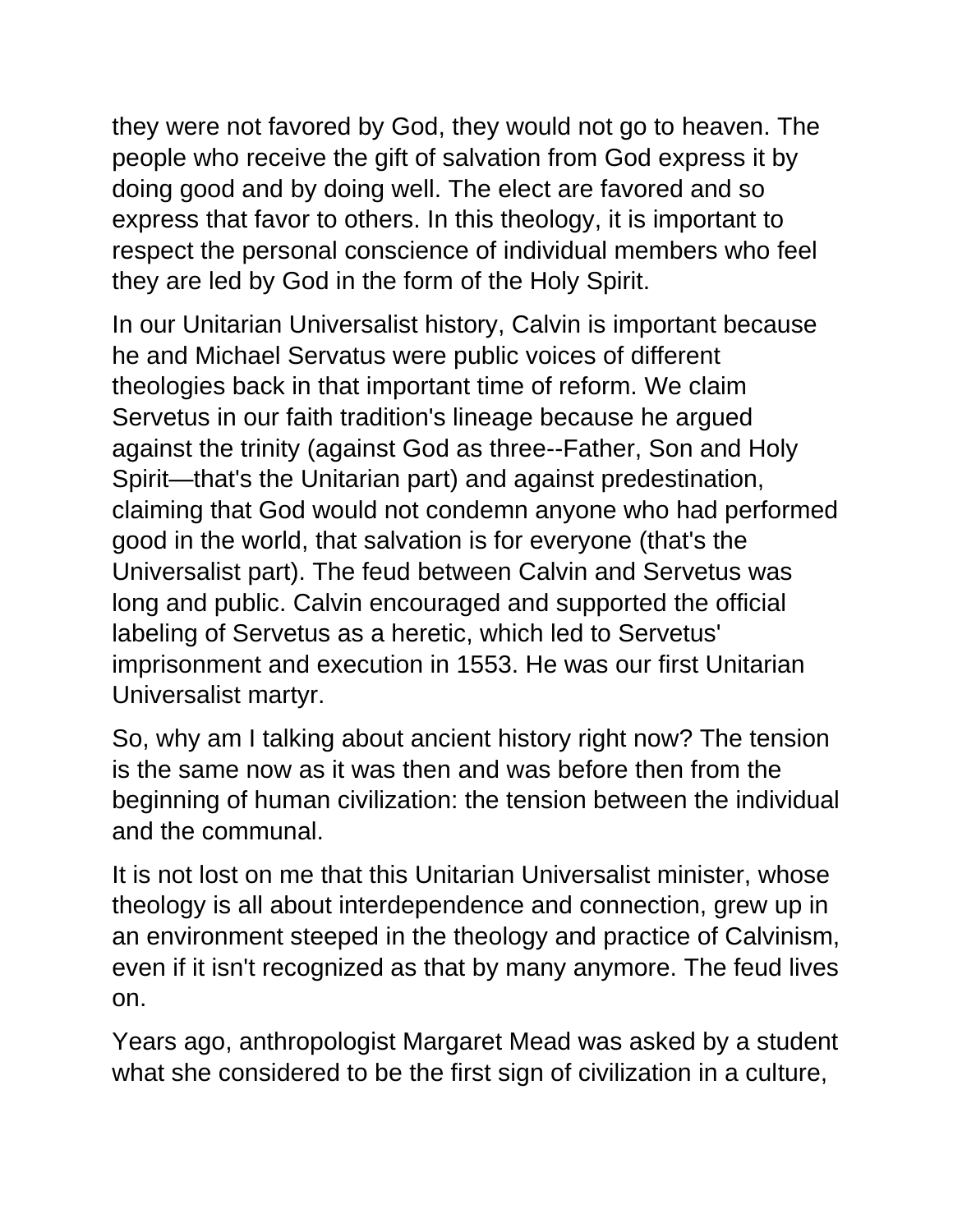they were not favored by God, they would not go to heaven. The people who receive the gift of salvation from God express it by doing good and by doing well. The elect are favored and so express that favor to others. In this theology, it is important to respect the personal conscience of individual members who feel they are led by God in the form of the Holy Spirit.

In our Unitarian Universalist history, Calvin is important because he and Michael Servatus were public voices of different theologies back in that important time of reform. We claim Servetus in our faith tradition's lineage because he argued against the trinity (against God as three--Father, Son and Holy Spirit—that's the Unitarian part) and against predestination, claiming that God would not condemn anyone who had performed good in the world, that salvation is for everyone (that's the Universalist part). The feud between Calvin and Servetus was long and public. Calvin encouraged and supported the official labeling of Servetus as a heretic, which led to Servetus' imprisonment and execution in 1553. He was our first Unitarian Universalist martyr.

So, why am I talking about ancient history right now? The tension is the same now as it was then and was before then from the beginning of human civilization: the tension between the individual and the communal.

It is not lost on me that this Unitarian Universalist minister, whose theology is all about interdependence and connection, grew up in an environment steeped in the theology and practice of Calvinism, even if it isn't recognized as that by many anymore. The feud lives on.

Years ago, anthropologist Margaret Mead was asked by a student what she considered to be the first sign of civilization in a culture,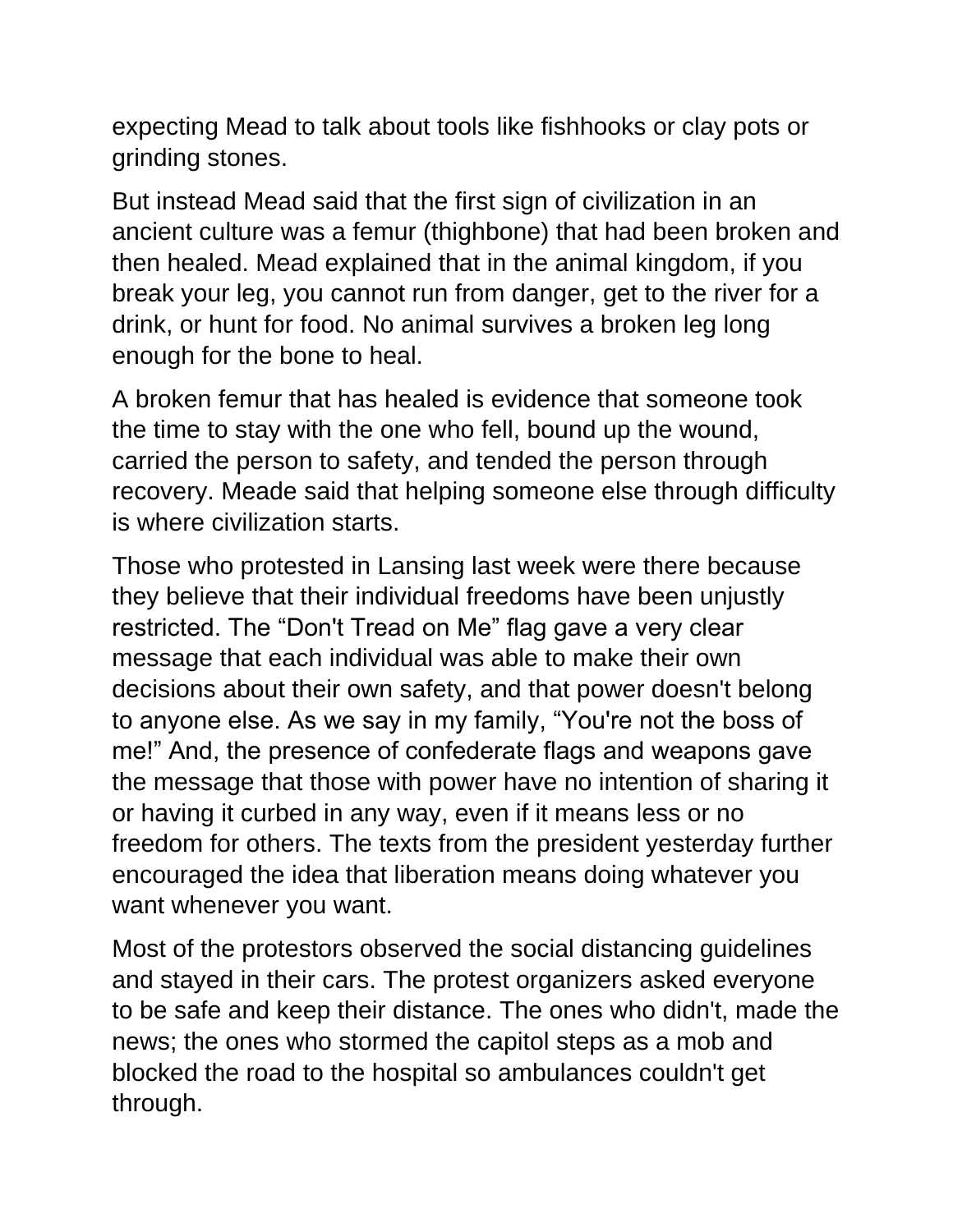expecting Mead to talk about tools like fishhooks or clay pots or grinding stones.

But instead Mead said that the first sign of civilization in an ancient culture was a femur (thighbone) that had been broken and then healed. Mead explained that in the animal kingdom, if you break your leg, you cannot run from danger, get to the river for a drink, or hunt for food. No animal survives a broken leg long enough for the bone to heal.

A broken femur that has healed is evidence that someone took the time to stay with the one who fell, bound up the wound, carried the person to safety, and tended the person through recovery. Meade said that helping someone else through difficulty is where civilization starts.

Those who protested in Lansing last week were there because they believe that their individual freedoms have been unjustly restricted. The "Don't Tread on Me" flag gave a very clear message that each individual was able to make their own decisions about their own safety, and that power doesn't belong to anyone else. As we say in my family, "You're not the boss of me!" And, the presence of confederate flags and weapons gave the message that those with power have no intention of sharing it or having it curbed in any way, even if it means less or no freedom for others. The texts from the president yesterday further encouraged the idea that liberation means doing whatever you want whenever you want.

Most of the protestors observed the social distancing guidelines and stayed in their cars. The protest organizers asked everyone to be safe and keep their distance. The ones who didn't, made the news; the ones who stormed the capitol steps as a mob and blocked the road to the hospital so ambulances couldn't get through.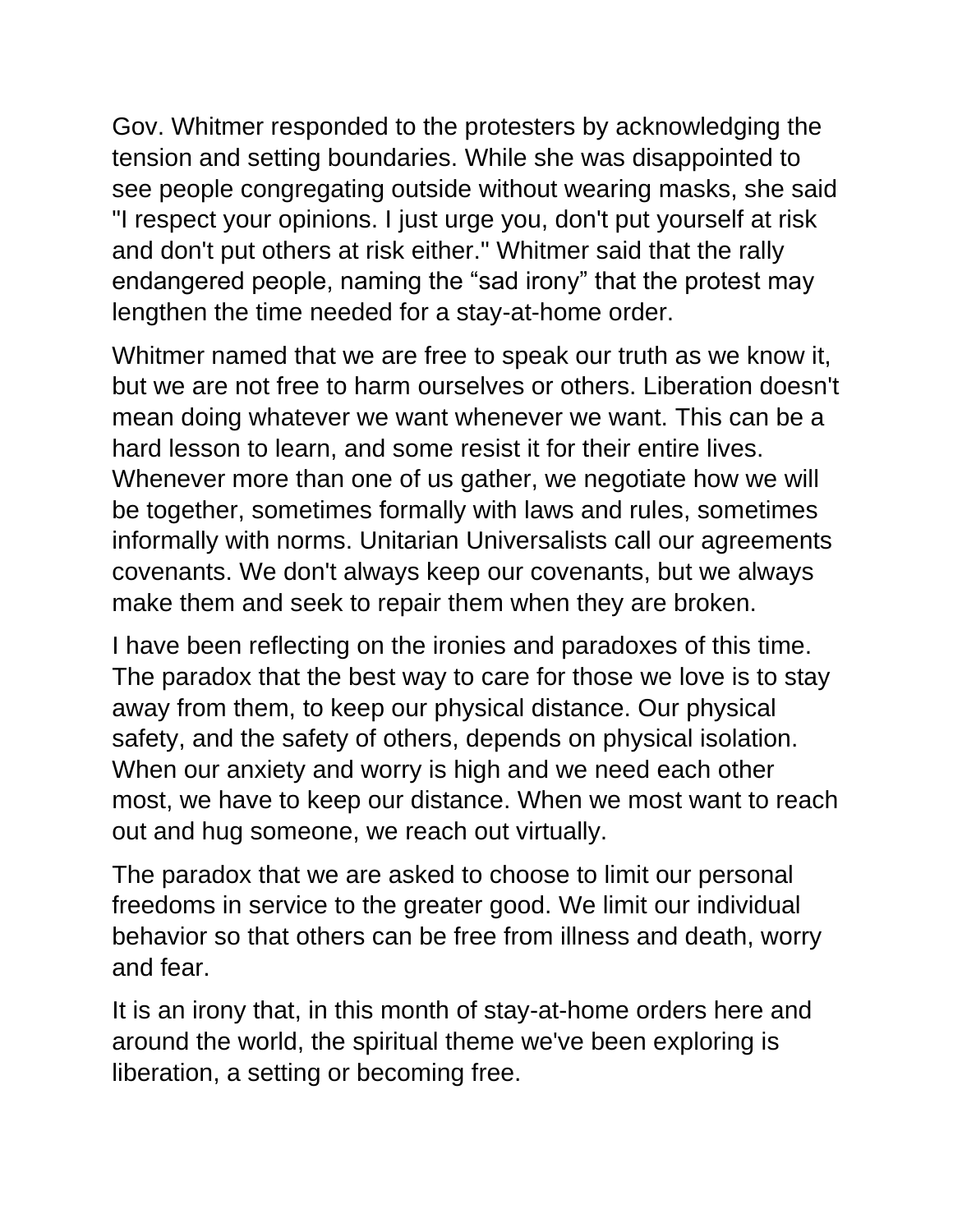Gov. Whitmer responded to the protesters by acknowledging the tension and setting boundaries. While she was disappointed to see people congregating outside without wearing masks, she said "I respect your opinions. I just urge you, don't put yourself at risk and don't put others at risk either." Whitmer said that the rally endangered people, naming the "sad irony" that the protest may lengthen the time needed for a stay-at-home order.

Whitmer named that we are free to speak our truth as we know it, but we are not free to harm ourselves or others. Liberation doesn't mean doing whatever we want whenever we want. This can be a hard lesson to learn, and some resist it for their entire lives. Whenever more than one of us gather, we negotiate how we will be together, sometimes formally with laws and rules, sometimes informally with norms. Unitarian Universalists call our agreements covenants. We don't always keep our covenants, but we always make them and seek to repair them when they are broken.

I have been reflecting on the ironies and paradoxes of this time. The paradox that the best way to care for those we love is to stay away from them, to keep our physical distance. Our physical safety, and the safety of others, depends on physical isolation. When our anxiety and worry is high and we need each other most, we have to keep our distance. When we most want to reach out and hug someone, we reach out virtually.

The paradox that we are asked to choose to limit our personal freedoms in service to the greater good. We limit our individual behavior so that others can be free from illness and death, worry and fear.

It is an irony that, in this month of stay-at-home orders here and around the world, the spiritual theme we've been exploring is liberation, a setting or becoming free.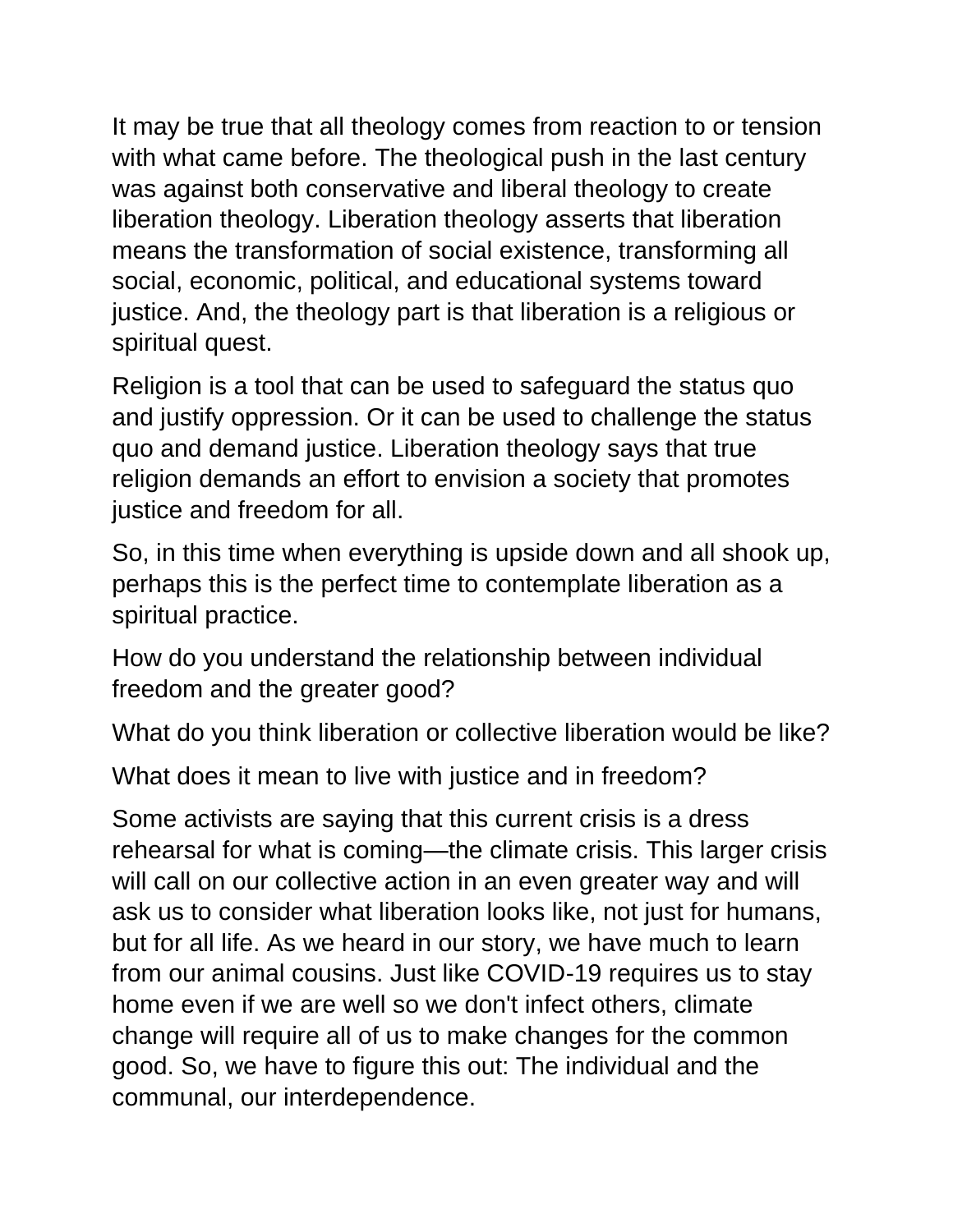It may be true that all theology comes from reaction to or tension with what came before. The theological push in the last century was against both conservative and liberal theology to create liberation theology. Liberation theology asserts that liberation means the transformation of social existence, transforming all social, economic, political, and educational systems toward justice. And, the theology part is that liberation is a religious or spiritual quest.

Religion is a tool that can be used to safeguard the status quo and justify oppression. Or it can be used to challenge the status quo and demand justice. Liberation theology says that true religion demands an effort to envision a society that promotes justice and freedom for all.

So, in this time when everything is upside down and all shook up, perhaps this is the perfect time to contemplate liberation as a spiritual practice.

How do you understand the relationship between individual freedom and the greater good?

What do you think liberation or collective liberation would be like?

What does it mean to live with justice and in freedom?

Some activists are saying that this current crisis is a dress rehearsal for what is coming—the climate crisis. This larger crisis will call on our collective action in an even greater way and will ask us to consider what liberation looks like, not just for humans, but for all life. As we heard in our story, we have much to learn from our animal cousins. Just like COVID-19 requires us to stay home even if we are well so we don't infect others, climate change will require all of us to make changes for the common good. So, we have to figure this out: The individual and the communal, our interdependence.